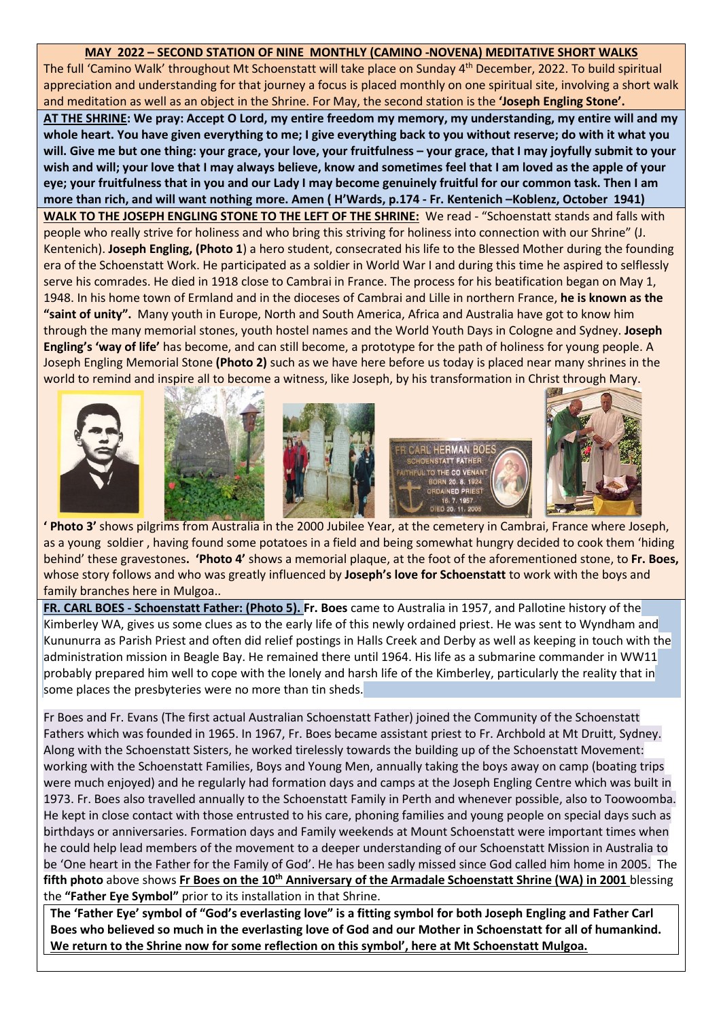## **MAY 2022 – SECOND STATION OF NINE MONTHLY (CAMINO -NOVENA) MEDITATIVE SHORT WALKS**

The full 'Camino Walk' throughout Mt Schoenstatt will take place on Sunday 4<sup>th</sup> December, 2022. To build spiritual appreciation and understanding for that journey a focus is placed monthly on one spiritual site, involving a short walk and meditation as well as an object in the Shrine. For May, the second station is the **'Joseph Engling Stone'.**

**AT THE SHRINE: We pray: Accept O Lord, my entire freedom my memory, my understanding, my entire will and my whole heart. You have given everything to me; I give everything back to you without reserve; do with it what you will. Give me but one thing: your grace, your love, your fruitfulness – your grace, that I may joyfully submit to your wish and will; your love that I may always believe, know and sometimes feel that I am loved as the apple of your eye; your fruitfulness that in you and our Lady I may become genuinely fruitful for our common task. Then I am more than rich, and will want nothing more. Amen ( H'Wards, p.174 - Fr. Kentenich –Koblenz, October 1941)** 

**WALK TO THE JOSEPH ENGLING STONE TO THE LEFT OF THE SHRINE:** We read - "Schoenstatt stands and falls with people who really strive for holiness and who bring this striving for holiness into connection with our Shrine" (J. Kentenich). **Joseph Engling, (Photo 1**) a hero student, consecrated his life to the Blessed Mother during the founding era of the Schoenstatt Work. He participated as a soldier in World War I and during this time he aspired to selflessly serve his comrades. He died in 1918 close to Cambrai in France. The process for his beatification began on May 1, 1948. In his home town of Ermland and in the dioceses of Cambrai and Lille in northern France, **he is known as the "saint of unity".** Many youth in Europe, North and South America, Africa and Australia have got to know him through the many memorial stones, youth hostel names and the World Youth Days in Cologne and Sydney. **Joseph Engling's 'way of life'** has become, and can still become, a prototype for the path of holiness for young people. A Joseph Engling Memorial Stone **(Photo 2)** such as we have here before us today is placed near many shrines in the world to remind and inspire all to become a witness, like Joseph, by his transformation in Christ through Mary.











**The Community of the Community of the Community of the Community of the Community of the Community of the Community of the Community of the Community of the Community of the Community of the Community of the Community of** as a young soldier , having found some potatoes in a field and being somewhat hungry decided to cook them 'hiding behind' these gravestones**. 'Photo 4'** shows a memorial plaque, at the foot of the aforementioned stone, to **Fr. Boes,** whose story follows and who was greatly influenced by **Joseph's love for Schoenstatt** to work with the boys and family branches here in Mulgoa..

**FR. CARL BOES - Schoenstatt Father: (Photo 5). Fr. Boes** came to Australia in 1957, and Pallotine history of the Kimberley WA, gives us some clues as to the early life of this newly ordained priest. He was sent to Wyndham and Kununurra as Parish Priest and often did relief postings in Halls Creek and Derby as well as keeping in touch with the administration mission in Beagle Bay. He remained there until 1964. His life as a submarine commander in WW11 probably prepared him well to cope with the lonely and harsh life of the Kimberley, particularly the reality that in some places the presbyteries were no more than tin sheds.

Fr Boes and Fr. Evans (The first actual Australian Schoenstatt Father) joined the Community of the Schoenstatt Fathers which was founded in 1965. In 1967, Fr. Boes became assistant priest to Fr. Archbold at Mt Druitt, Sydney. Along with the Schoenstatt Sisters, he worked tirelessly towards the building up of the Schoenstatt Movement: working with the Schoenstatt Families, Boys and Young Men, annually taking the boys away on camp (boating trips were much enjoyed) and he regularly had formation days and camps at the Joseph Engling Centre which was built in 1973. Fr. Boes also travelled annually to the Schoenstatt Family in Perth and whenever possible, also to Toowoomba. He kept in close contact with those entrusted to his care, phoning families and young people on special days such as birthdays or anniversaries. Formation days and Family weekends at Mount Schoenstatt were important times when he could help lead members of the movement to a deeper understanding of our Schoenstatt Mission in Australia to be 'One heart in the Father for the Family of God'. He has been sadly missed since God called him home in 2005. The **fifth photo** above shows **Fr Boes on the 10th Anniversary of the Armadale Schoenstatt Shrine (WA) in 2001** blessing the **"Father Eye Symbol"** prior to its installation in that Shrine.

**The 'Father Eye' symbol of "God's everlasting love" is a fitting symbol for both Joseph Engling and Father Carl Boes who believed so much in the everlasting love of God and our Mother in Schoenstatt for all of humankind. We return to the Shrine now for some reflection on this symbol', here at Mt Schoenstatt Mulgoa.**